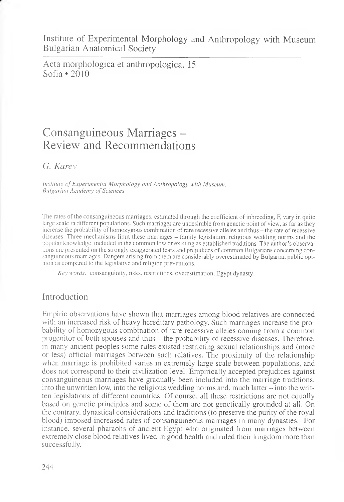Institute of Experimental Morphology and Anthropology with Museum Bulgarian Anatomical Society

Acta morphologica et anthropologica, 15 Sofia  $\cdot$  2010

# Consanguineous Marriages – Review and Recommendations

*G. Karev*

*Institute of Experimental Morphology and Anthropology with Museum, Bulgarian Academy of Sciences*

The rates of the consanguineous marriages, estimated through the coefficient of inbreeding, F, vary in quite large scale in different populations. Such marriages are undesirable from genetic point of view, as far as they increase the probability of homozygous combination of rare recessive alleles and thus - the rate of recessive diseases. Three mechanisms limit these marriages - family legislation, religious wedding norms and the popular knowledge included in the common low or existing as established traditions. The author's observations are presented on the strongly exaggerated fears and prejudices of common Bulgarians concerning consanguineous marriages. Dangers arising from them are considerably overestimated by Bulgarian public opinion as compared to the legislative and religion preventions.

*Key words:* consanguinity, risks, restrictions, overestimation, Egypt dynasty.

# Introduction

Empiric observations have shown that marriages among blood relatives are connected with an increased risk of heavy hereditary pathology. Such marriages increase the probability of homozygous combination of rare recessive alleles coming from a common progenitor of both spouses and thus - the probability of recessive diseases. Therefore, in many ancient peoples some rules existed restricting sexual relationships and (more or less) official marriages between such relatives. The proximity of the relationship when marriage is prohibited varies in extremely large scale between populations, and does not correspond to their civilization level. Empirically accepted prejudices against consanguineous marriages have gradually been included into the marriage traditions, into the unwritten low, into the religious wedding norms and, much latter - into the written legislations of different countries. Of course, all these restrictions are not equally based on genetic principles and some of them are not genetically grounded at all. On the contrary, dynastical considerations and traditions (to preserve the purity of the royal blood) imposed increased rates of consanguineous marriages in many dynasties. For instance, several pharaohs of ancient Egypt who originated from marriages between extremely close blood relatives lived in good health and ruled their kingdom more than successfully.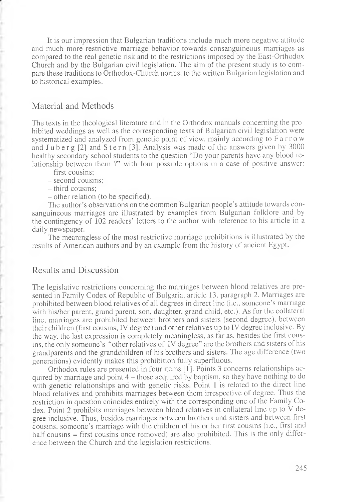It is our impression that Bulgarian traditions include much more negative attitude and much more restrictive marriage behavior towards consanguineous marriages as compared to the real genetic risk and to the restrictions imposed by the East-Orthodox Church and by the Bulgarian civil legislation. The aim of the present study is to compare these traditions to Orthodox-Church norms, to the written Bulgarian legislation and to historical examples.

### Material and Methods

The texts in the theological literature and in the Orthodox manuals concerning the prohibited weddings as well as the corresponding texts of Bulgarian civil legislation were systematized and analyzed from genetic point of view, mainly according to F a rr o w and  $J$ u b e r g  $[2]$  and  $S$  t e r n  $[3]$ . Analysis was made of the answers given by 3000 healthy secondary school students to the question "Do your parents have any blood relationship between them ?" with four possible options in a case of positive answer:

- first cousins;
- second cousins;
- third cousins;
- other relation (to be specified).

The author's observations on the common Bulgarian people's attitude towards consanguineous marriages are illustrated by examples from Bulgarian folklore and by the contingency of 102 readers' letters to the author with reference to his article in a daily newspaper.

The meaningless of the most restrictive marriage prohibitions is illustrated by the results of American authors and by an example from the history of ancient Egypt.

### Results and Discussion

The legislative restrictions concerning the marriages between blood relatives are presented in Family Codex of Republic of Bulgaria, article 13, paragraph 2. Marriages are prohibited between blood relatives of all degrees in direct line (i.e., someone's marriage with his/her parent, grand parent, son, daughter, grand child, etc.). As for the collateral line, marriages are prohibited between brothers and sisters (second degree), between their children (first cousins, IV degree) and other relatives up to IV degree inclusive. By the way, the last expression is completely meaningless, as far as, besides the first cousins, the only someone's "other relatives of IV degree" are the brothers and sisters of his grandparents and the grandchildren of his brothers and sisters. The age difference (two generations) evidently makes this prohibition fully superfluous.

Orthodox rules are presented in four items [1]. Points 3 concerns relationships acquired by marriage and point 4 – those acquired by baptism, so they have nothing to do with genetic relationships and with genetic risks. Point 1 is related to the direct line blood relatives and prohibits marriages between them irrespective of degree. Thus the restriction in question coincides entirely with the corresponding one of the Family Codex. Point 2 prohibits marriages between blood relatives in collateral line up to V degree inclusive. Thus, besides marriages between brothers and sisters and between first cousins, someone's marriage with the children of his or her first cousins (i.e., first and half cousins = first cousins once removed) are also prohibited. This is the only difference between the Church and the legislation restrictions.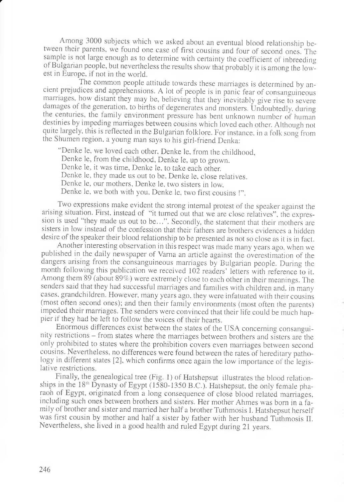Among 3000 subjects which we asked about an eventual blood relationship between their parents, we found one case of first cousins and four of second ones. The sample is not large enough as to determine with certainty the coefficient of inbreeding of Bulgarian people, but nevertheless the results show that probably it is among the lowest in Europe, if not in the world.

The common people attitude towards these marriages is determined by ancient piejudices and apprehensions. A lot of people is in panic fear of consanguineous marriages, how distant they may be, believing that they inevitably give rise to severe damages of the generation, to births of degenerates and monsters. Undoubtedly, during the centuries, the family environment pressure has bent unknown number of human destinies by impeding marriages between cousins which loved each other. Although not quite largely, this is reflected in the Bulgarian folklore. For instance, in a folk song from the Shumen region, a young man says to his girl-friend Denka:

"Denke le, we loved each other. Denke le, from the childhood, Denke le, from the childhood, Denke le, up to grown. Denke le, it was time, Denke le, to take each other. Denke le, they made us out to be, Denke le, close relatives. Denke le, our mothers, Denke le, two sisters in low, Denke le, we both with you. Denke le, two first cousins !".

Two expressions make evident the strong internal protest of the speaker against the arising situation. First, instead of "it turned out that we are close relatives", the expression is used "they made us out to be...". Secondly, the statement that their mothers are sisters in low instead of the confession that their fathers are brothers evidences a hidden desire of the speaker their blood relationship to be presented as not so close as it is in fact.

Another interesting observation in this respect was made many years ago, when we published in the daily newspaper of Varna an article against the overestimation of the dangers arising from the consanguineous marriages by Bulgarian people. During the month following this publication we received 102 readers' letters with reference to it. Among them 89 (about 89%) were extremely close to each other in their meanings. The senders said that they had successful marriages and families with children and. in many cases, grandchildren. However, many years ago, they were infatuated with their cousins (most often second ones); and then their family environments (most often the parents) impeded their marriages. The senders were convinced that their life could be much happier if they had be left to follow the voices of their hearts.

Enormous differences exist between the states of the USA concerning consanguinity restrictions - from states where the marriages between brothers and sisters are the only prohibited to states where the prohibition covers even marriages between second cousins. Nevertheless, no differences were found between the rates of hereditary pathology in different states [2], which confirms once again the low importance of the legislative restrictions.

Finally, the genealogical tree (Fig. 1) of Hatshepsut illustrates the blood relationships in the  $18<sup>th</sup>$  Dynasty of Egypt (1580-1350 B.C.). Hatshepsut, the only female pharaoh of Egypt, originated from a long consequence of close blood related marriages, including such ones between brothers and sisters. Her mother Ahmes was born in a family of brother and sister and married her half a brother Tuthmosis I. Hatshepsut herself was first cousin by mother and half a sister by father with her husband Tuthmosis II. Nevertheless, she lived in a good health and ruled Egypt during 21 years.

*r*